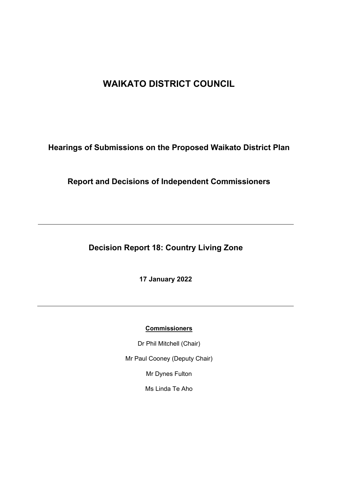# **WAIKATO DISTRICT COUNCIL**

**Hearings of Submissions on the Proposed Waikato District Plan**

**Report and Decisions of Independent Commissioners**

**Decision Report 18: Country Living Zone**

**17 January 2022**

#### **Commissioners**

Dr Phil Mitchell (Chair)

Mr Paul Cooney (Deputy Chair)

Mr Dynes Fulton

Ms Linda Te Aho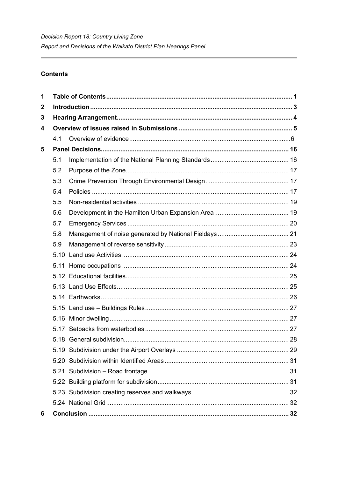## **Contents**

| 1            |     |  |  |
|--------------|-----|--|--|
| $\mathbf{2}$ |     |  |  |
| 3            |     |  |  |
| 4            |     |  |  |
|              | 4.1 |  |  |
| 5            |     |  |  |
|              | 5.1 |  |  |
|              | 5.2 |  |  |
|              | 5.3 |  |  |
|              | 5.4 |  |  |
|              | 5.5 |  |  |
|              | 5.6 |  |  |
|              | 5.7 |  |  |
|              | 5.8 |  |  |
|              | 5.9 |  |  |
|              |     |  |  |
|              |     |  |  |
|              |     |  |  |
|              |     |  |  |
|              |     |  |  |
|              |     |  |  |
|              |     |  |  |
|              |     |  |  |
|              |     |  |  |
|              |     |  |  |
|              |     |  |  |
|              |     |  |  |
|              |     |  |  |
|              |     |  |  |
|              |     |  |  |
| 6            |     |  |  |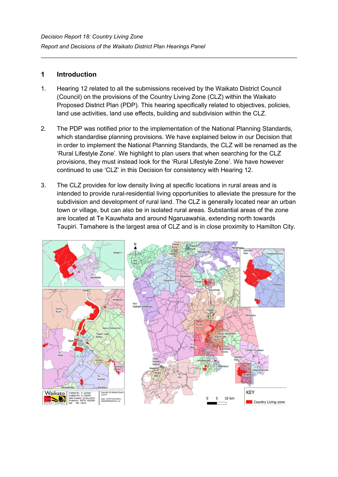## **1 Introduction**

- 1. Hearing 12 related to all the submissions received by the Waikato District Council (Council) on the provisions of the Country Living Zone (CLZ) within the Waikato Proposed District Plan (PDP). This hearing specifically related to objectives, policies, land use activities, land use effects, building and subdivision within the CLZ.
- 2. The PDP was notified prior to the implementation of the National Planning Standards, which standardise planning provisions. We have explained below in our Decision that in order to implement the National Planning Standards, the CLZ will be renamed as the 'Rural Lifestyle Zone'. We highlight to plan users that when searching for the CLZ provisions, they must instead look for the 'Rural Lifestyle Zone'. We have however continued to use 'CLZ' in this Decision for consistency with Hearing 12.
- 3. The CLZ provides for low density living at specific locations in rural areas and is intended to provide rural-residential living opportunities to alleviate the pressure for the subdivision and development of rural land. The CLZ is generally located near an urban town or village, but can also be in isolated rural areas. Substantial areas of the zone are located at Te Kauwhata and around Ngaruawahia, extending north towards Taupiri. Tamahere is the largest area of CLZ and is in close proximity to Hamilton City.

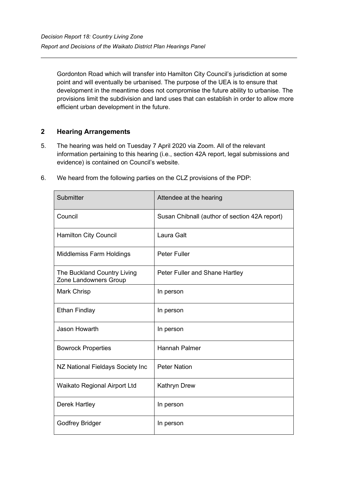Gordonton Road which will transfer into Hamilton City Council's jurisdiction at some point and will eventually be urbanised. The purpose of the UEA is to ensure that development in the meantime does not compromise the future ability to urbanise. The provisions limit the subdivision and land uses that can establish in order to allow more efficient urban development in the future.

## **2 Hearing Arrangements**

- 5. The hearing was held on Tuesday 7 April 2020 via Zoom. All of the relevant information pertaining to this hearing (i.e., section 42A report, legal submissions and evidence) is contained on Council's website.
- 6. We heard from the following parties on the CLZ provisions of the PDP:

| Submitter                                            | Attendee at the hearing                       |
|------------------------------------------------------|-----------------------------------------------|
| Council                                              | Susan Chibnall (author of section 42A report) |
| <b>Hamilton City Council</b>                         | Laura Galt                                    |
| <b>Middlemiss Farm Holdings</b>                      | <b>Peter Fuller</b>                           |
| The Buckland Country Living<br>Zone Landowners Group | Peter Fuller and Shane Hartley                |
| <b>Mark Chrisp</b>                                   | In person                                     |
| <b>Ethan Findlay</b>                                 | In person                                     |
| <b>Jason Howarth</b>                                 | In person                                     |
| <b>Bowrock Properties</b>                            | <b>Hannah Palmer</b>                          |
| NZ National Fieldays Society Inc                     | <b>Peter Nation</b>                           |
| Waikato Regional Airport Ltd                         | <b>Kathryn Drew</b>                           |
| <b>Derek Hartley</b>                                 | In person                                     |
| <b>Godfrey Bridger</b>                               | In person                                     |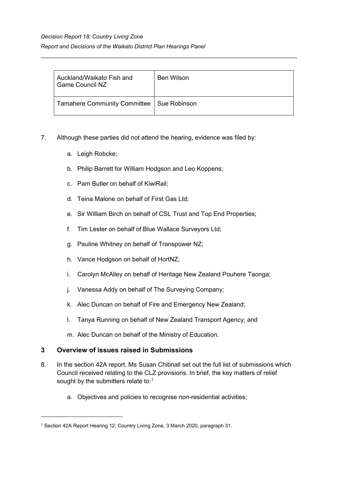| Auckland/Waikato Fish and<br><b>Game Council NZ</b> | Ben Wilson |
|-----------------------------------------------------|------------|
| Tamahere Community Committee   Sue Robinson         |            |

- 7. Although these parties did not attend the hearing, evidence was filed by:
	- a. Leigh Robcke;
	- b. Philip Barrett for William Hodgson and Leo Koppens;
	- c. Pam Butler on behalf of KiwiRail;
	- d. Teina Malone on behalf of First Gas Ltd;
	- e. Sir William Birch on behalf of CSL Trust and Top End Properties;
	- f. Tim Lester on behalf of Blue Wallace Surveyors Ltd;
	- g. Pauline Whitney on behalf of Transpower NZ;
	- h. Vance Hodgson on behalf of HortNZ;
	- i. Carolyn McAlley on behalf of Heritage New Zealand Pouhere Taonga;
	- j. Vanessa Addy on behalf of The Surveying Company;
	- k. Alec Duncan on behalf of Fire and Emergency New Zealand;
	- l. Tanya Running on behalf of New Zealand Transport Agency; and
	- m. Alec Duncan on behalf of the Ministry of Education.

## **3 Overview of issues raised in Submissions**

- 8. In the section 42A report, Ms Susan Chibnall set out the full list of submissions which Council received relating to the CLZ provisions. In brief, the key matters of relief sought by the submitters relate to:[1](#page-4-0)
	- a. Objectives and policies to recognise non-residential activities;

<span id="page-4-0"></span><sup>1</sup> Section 42A Report Hearing 12: Country Living Zone, 3 March 2020, paragraph 31.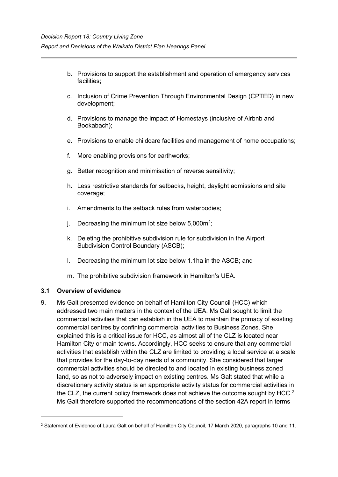- b. Provisions to support the establishment and operation of emergency services facilities;
- c. Inclusion of Crime Prevention Through Environmental Design (CPTED) in new development;
- d. Provisions to manage the impact of Homestays (inclusive of Airbnb and Bookabach);
- e. Provisions to enable childcare facilities and management of home occupations;
- f. More enabling provisions for earthworks;
- g. Better recognition and minimisation of reverse sensitivity;
- h. Less restrictive standards for setbacks, height, daylight admissions and site coverage;
- i. Amendments to the setback rules from waterbodies;
- j.  $\,$  Decreasing the minimum lot size below 5,000m $^2;$
- k. Deleting the prohibitive subdivision rule for subdivision in the Airport Subdivision Control Boundary (ASCB);
- l. Decreasing the minimum lot size below 1.1ha in the ASCB; and
- m. The prohibitive subdivision framework in Hamilton's UEA.

#### **3.1 Overview of evidence**

9. Ms Galt presented evidence on behalf of Hamilton City Council (HCC) which addressed two main matters in the context of the UEA. Ms Galt sought to limit the commercial activities that can establish in the UEA to maintain the primacy of existing commercial centres by confining commercial activities to Business Zones. She explained this is a critical issue for HCC, as almost all of the CLZ is located near Hamilton City or main towns. Accordingly, HCC seeks to ensure that any commercial activities that establish within the CLZ are limited to providing a local service at a scale that provides for the day-to-day needs of a community. She considered that larger commercial activities should be directed to and located in existing business zoned land, so as not to adversely impact on existing centres. Ms Galt stated that while a discretionary activity status is an appropriate activity status for commercial activities in the CLZ, the current policy framework does not achieve the outcome sought by HCC.<sup>[2](#page-5-0)</sup> Ms Galt therefore supported the recommendations of the section 42A report in terms

<span id="page-5-0"></span><sup>&</sup>lt;sup>2</sup> Statement of Evidence of Laura Galt on behalf of Hamilton City Council, 17 March 2020, paragraphs 10 and 11.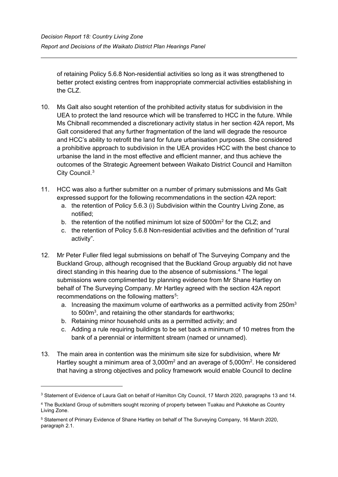of retaining Policy 5.6.8 Non-residential activities so long as it was strengthened to better protect existing centres from inappropriate commercial activities establishing in the CLZ.

- 10. Ms Galt also sought retention of the prohibited activity status for subdivision in the UEA to protect the land resource which will be transferred to HCC in the future. While Ms Chibnall recommended a discretionary activity status in her section 42A report, Ms Galt considered that any further fragmentation of the land will degrade the resource and HCC's ability to retrofit the land for future urbanisation purposes. She considered a prohibitive approach to subdivision in the UEA provides HCC with the best chance to urbanise the land in the most effective and efficient manner, and thus achieve the outcomes of the Strategic Agreement between Waikato District Council and Hamilton City Council.<sup>[3](#page-6-0)</sup>
- 11. HCC was also a further submitter on a number of primary submissions and Ms Galt expressed support for the following recommendations in the section 42A report:
	- a. the retention of Policy 5.6.3 (i) Subdivision within the Country Living Zone, as notified;
	- b. the retention of the notified minimum lot size of 5000m<sup>2</sup> for the CLZ; and
	- c. the retention of Policy 5.6.8 Non-residential activities and the definition of "rural activity".
- 12. Mr Peter Fuller filed legal submissions on behalf of The Surveying Company and the Buckland Group, although recognised that the Buckland Group arguably did not have direct standing in this hearing due to the absence of submissions. [4](#page-6-1) The legal submissions were complimented by planning evidence from Mr Shane Hartley on behalf of The Surveying Company. Mr Hartley agreed with the section 42A report recommendations on the following matters<sup>[5](#page-6-2)</sup>:
	- a. Increasing the maximum volume of earthworks as a permitted activity from 250 $m<sup>3</sup>$ to 500 $\mathsf{m}^3$ , and retaining the other standards for earthworks;
	- b. Retaining minor household units as a permitted activity; and
	- c. Adding a rule requiring buildings to be set back a minimum of 10 metres from the bank of a perennial or intermittent stream (named or unnamed).
- 13. The main area in contention was the minimum site size for subdivision, where Mr Hartley sought a minimum area of 3,000 $m^2$  and an average of 5,000 $m^2$ . He considered that having a strong objectives and policy framework would enable Council to decline

<span id="page-6-0"></span><sup>3</sup> Statement of Evidence of Laura Galt on behalf of Hamilton City Council, 17 March 2020, paragraphs 13 and 14.

<span id="page-6-1"></span><sup>4</sup> The Buckland Group of submitters sought rezoning of property between Tuakau and Pukekohe as Country Living Zone.

<span id="page-6-2"></span><sup>5</sup> Statement of Primary Evidence of Shane Hartley on behalf of The Surveying Company, 16 March 2020, paragraph 2.1.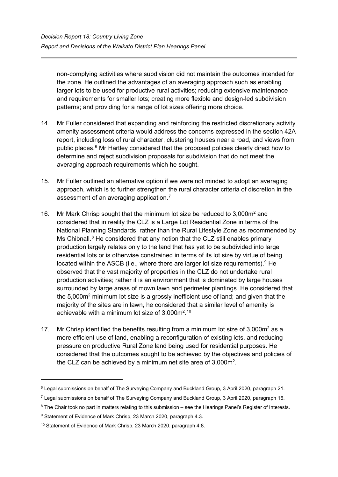non-complying activities where subdivision did not maintain the outcomes intended for the zone. He outlined the advantages of an averaging approach such as enabling larger lots to be used for productive rural activities; reducing extensive maintenance and requirements for smaller lots; creating more flexible and design-led subdivision patterns; and providing for a range of lot sizes offering more choice.

- 14. Mr Fuller considered that expanding and reinforcing the restricted discretionary activity amenity assessment criteria would address the concerns expressed in the section 42A report, including loss of rural character, clustering houses near a road, and views from public places. [6](#page-7-0) Mr Hartley considered that the proposed policies clearly direct how to determine and reject subdivision proposals for subdivision that do not meet the averaging approach requirements which he sought.
- 15. Mr Fuller outlined an alternative option if we were not minded to adopt an averaging approach, which is to further strengthen the rural character criteria of discretion in the assessment of an averaging application. [7](#page-7-1)
- 16. Mr Mark Chrisp sought that the minimum lot size be reduced to 3,000m<sup>2</sup> and considered that in reality the CLZ is a Large Lot Residential Zone in terms of the National Planning Standards, rather than the Rural Lifestyle Zone as recommended by Ms Chibnall. $8$  He considered that any notion that the CLZ still enables primary production largely relates only to the land that has yet to be subdivided into large residential lots or is otherwise constrained in terms of its lot size by virtue of being located within the ASCB (i.e., where there are larger lot size requirements).  $9$  He observed that the vast majority of properties in the CLZ do not undertake rural production activities; rather it is an environment that is dominated by large houses surrounded by large areas of mown lawn and perimeter plantings. He considered that the 5,000m2 minimum lot size is a grossly inefficient use of land; and given that the majority of the sites are in lawn, he considered that a similar level of amenity is achievable with a minimum lot size of 3,000m $^{\rm 2.10}$  $^{\rm 2.10}$  $^{\rm 2.10}$
- 17. Mr Chrisp identified the benefits resulting from a minimum lot size of  $3,000m^2$  as a more efficient use of land, enabling a reconfiguration of existing lots, and reducing pressure on productive Rural Zone land being used for residential purposes. He considered that the outcomes sought to be achieved by the objectives and policies of the CLZ can be achieved by a minimum net site area of 3,000m<sup>2</sup>.

<span id="page-7-0"></span><sup>6</sup> Legal submissions on behalf of The Surveying Company and Buckland Group, 3 April 2020, paragraph 21.

<span id="page-7-1"></span><sup>7</sup> Legal submissions on behalf of The Surveying Company and Buckland Group, 3 April 2020, paragraph 16.

<span id="page-7-2"></span><sup>&</sup>lt;sup>8</sup> The Chair took no part in matters relating to this submission – see the Hearings Panel's Register of Interests.

<span id="page-7-3"></span><sup>&</sup>lt;sup>9</sup> Statement of Evidence of Mark Chrisp, 23 March 2020, paragraph 4.3.

<span id="page-7-4"></span><sup>&</sup>lt;sup>10</sup> Statement of Evidence of Mark Chrisp, 23 March 2020, paragraph 4.8.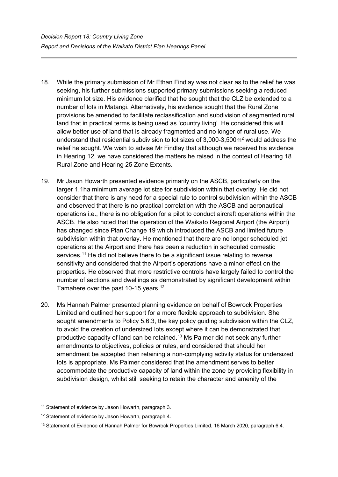- 18. While the primary submission of Mr Ethan Findlay was not clear as to the relief he was seeking, his further submissions supported primary submissions seeking a reduced minimum lot size. His evidence clarified that he sought that the CLZ be extended to a number of lots in Matangi. Alternatively, his evidence sought that the Rural Zone provisions be amended to facilitate reclassification and subdivision of segmented rural land that in practical terms is being used as 'country living'. He considered this will allow better use of land that is already fragmented and no longer of rural use. We understand that residential subdivision to lot sizes of 3,000-3,500m2 would address the relief he sought. We wish to advise Mr Findlay that although we received his evidence in Hearing 12, we have considered the matters he raised in the context of Hearing 18 Rural Zone and Hearing 25 Zone Extents.
- 19. Mr Jason Howarth presented evidence primarily on the ASCB, particularly on the larger 1.1ha minimum average lot size for subdivision within that overlay. He did not consider that there is any need for a special rule to control subdivision within the ASCB and observed that there is no practical correlation with the ASCB and aeronautical operations i.e., there is no obligation for a pilot to conduct aircraft operations within the ASCB. He also noted that the operation of the Waikato Regional Airport (the Airport) has changed since Plan Change 19 which introduced the ASCB and limited future subdivision within that overlay. He mentioned that there are no longer scheduled jet operations at the Airport and there has been a reduction in scheduled domestic services. [11](#page-8-0) He did not believe there to be a significant issue relating to reverse sensitivity and considered that the Airport's operations have a minor effect on the properties. He observed that more restrictive controls have largely failed to control the number of sections and dwellings as demonstrated by significant development within Tamahere over the past 10-15 years.<sup>[12](#page-8-1)</sup>
- 20. Ms Hannah Palmer presented planning evidence on behalf of Bowrock Properties Limited and outlined her support for a more flexible approach to subdivision. She sought amendments to Policy 5.6.3, the key policy guiding subdivision within the CLZ, to avoid the creation of undersized lots except where it can be demonstrated that productive capacity of land can be retained.[13](#page-8-2) Ms Palmer did not seek any further amendments to objectives, policies or rules, and considered that should her amendment be accepted then retaining a non-complying activity status for undersized lots is appropriate. Ms Palmer considered that the amendment serves to better accommodate the productive capacity of land within the zone by providing flexibility in subdivision design, whilst still seeking to retain the character and amenity of the

<span id="page-8-0"></span><sup>&</sup>lt;sup>11</sup> Statement of evidence by Jason Howarth, paragraph 3.

<span id="page-8-1"></span><sup>&</sup>lt;sup>12</sup> Statement of evidence by Jason Howarth, paragraph 4.

<span id="page-8-2"></span><sup>&</sup>lt;sup>13</sup> Statement of Evidence of Hannah Palmer for Bowrock Properties Limited, 16 March 2020, paragraph 6.4.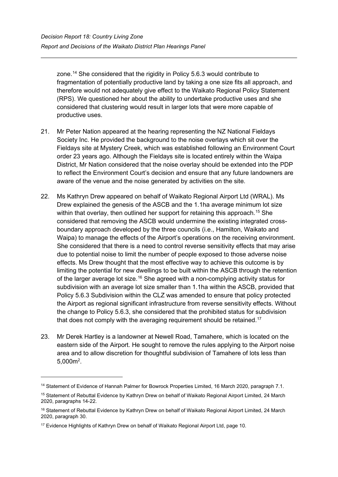zone.<sup>[14](#page-9-0)</sup> She considered that the rigidity in Policy 5.6.3 would contribute to fragmentation of potentially productive land by taking a one size fits all approach, and therefore would not adequately give effect to the Waikato Regional Policy Statement (RPS). We questioned her about the ability to undertake productive uses and she considered that clustering would result in larger lots that were more capable of productive uses.

- 21. Mr Peter Nation appeared at the hearing representing the NZ National Fieldays Society Inc. He provided the background to the noise overlays which sit over the Fieldays site at Mystery Creek, which was established following an Environment Court order 23 years ago. Although the Fieldays site is located entirely within the Waipa District, Mr Nation considered that the noise overlay should be extended into the PDP to reflect the Environment Court's decision and ensure that any future landowners are aware of the venue and the noise generated by activities on the site.
- 22. Ms Kathryn Drew appeared on behalf of Waikato Regional Airport Ltd (WRAL). Ms Drew explained the genesis of the ASCB and the 1.1ha average minimum lot size within that overlay, then outlined her support for retaining this approach. [15](#page-9-1) She considered that removing the ASCB would undermine the existing integrated crossboundary approach developed by the three councils (i.e., Hamilton, Waikato and Waipa) to manage the effects of the Airport's operations on the receiving environment. She considered that there is a need to control reverse sensitivity effects that may arise due to potential noise to limit the number of people exposed to those adverse noise effects. Ms Drew thought that the most effective way to achieve this outcome is by limiting the potential for new dwellings to be built within the ASCB through the retention of the larger average lot size.<sup>[16](#page-9-2)</sup> She agreed with a non-complying activity status for subdivision with an average lot size smaller than 1.1ha within the ASCB, provided that Policy 5.6.3 Subdivision within the CLZ was amended to ensure that policy protected the Airport as regional significant infrastructure from reverse sensitivity effects. Without the change to Policy 5.6.3, she considered that the prohibited status for subdivision that does not comply with the averaging requirement should be retained. [17](#page-9-3)
- 23. Mr Derek Hartley is a landowner at Newell Road, Tamahere, which is located on the eastern side of the Airport. He sought to remove the rules applying to the Airport noise area and to allow discretion for thoughtful subdivision of Tamahere of lots less than  $5,000m^2$ .

<span id="page-9-0"></span><sup>14</sup> Statement of Evidence of Hannah Palmer for Bowrock Properties Limited, 16 March 2020, paragraph 7.1.

<span id="page-9-1"></span><sup>15</sup> Statement of Rebuttal Evidence by Kathryn Drew on behalf of Waikato Regional Airport Limited, 24 March 2020, paragraphs 14-22.

<span id="page-9-2"></span><sup>&</sup>lt;sup>16</sup> Statement of Rebuttal Evidence by Kathryn Drew on behalf of Waikato Regional Airport Limited, 24 March 2020, paragraph 30.

<span id="page-9-3"></span><sup>&</sup>lt;sup>17</sup> Evidence Highlights of Kathryn Drew on behalf of Waikato Regional Airport Ltd, page 10.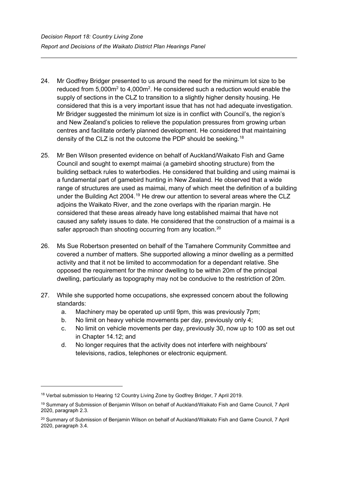- 24. Mr Godfrey Bridger presented to us around the need for the minimum lot size to be reduced from 5,000 $m^2$  to 4,000 $m^2$ . He considered such a reduction would enable the supply of sections in the CLZ to transition to a slightly higher density housing. He considered that this is a very important issue that has not had adequate investigation. Mr Bridger suggested the minimum lot size is in conflict with Council's, the region's and New Zealand's policies to relieve the population pressures from growing urban centres and facilitate orderly planned development. He considered that maintaining density of the CLZ is not the outcome the PDP should be seeking.<sup>[18](#page-10-0)</sup>
- 25. Mr Ben Wilson presented evidence on behalf of Auckland/Waikato Fish and Game Council and sought to exempt maimai (a gamebird shooting structure) from the building setback rules to waterbodies. He considered that building and using maimai is a fundamental part of gamebird hunting in New Zealand. He observed that a wide range of structures are used as maimai, many of which meet the definition of a building under the Building Act 2004.<sup>[19](#page-10-1)</sup> He drew our attention to several areas where the CLZ adjoins the Waikato River, and the zone overlaps with the riparian margin. He considered that these areas already have long established maimai that have not caused any safety issues to date. He considered that the construction of a maimai is a safer approach than shooting occurring from any location.<sup>[20](#page-10-2)</sup>
- 26. Ms Sue Robertson presented on behalf of the Tamahere Community Committee and covered a number of matters. She supported allowing a minor dwelling as a permitted activity and that it not be limited to accommodation for a dependant relative. She opposed the requirement for the minor dwelling to be within 20m of the principal dwelling, particularly as topography may not be conducive to the restriction of 20m.
- 27. While she supported home occupations, she expressed concern about the following standards:
	- a. Machinery may be operated up until 9pm, this was previously 7pm;
	- b. No limit on heavy vehicle movements per day, previously only 4;
	- c. No limit on vehicle movements per day, previously 30, now up to 100 as set out in Chapter 14.12; and
	- d. No longer requires that the activity does not interfere with neighbours' televisions, radios, telephones or electronic equipment.

<span id="page-10-0"></span><sup>18</sup> Verbal submission to Hearing 12 Country Living Zone by Godfrey Bridger, 7 April 2019.

<span id="page-10-1"></span><sup>19</sup> Summary of Submission of Benjamin Wilson on behalf of Auckland/Waikato Fish and Game Council, 7 April 2020, paragraph 2.3.

<span id="page-10-2"></span><sup>&</sup>lt;sup>20</sup> Summary of Submission of Benjamin Wilson on behalf of Auckland/Waikato Fish and Game Council, 7 April 2020, paragraph 3.4.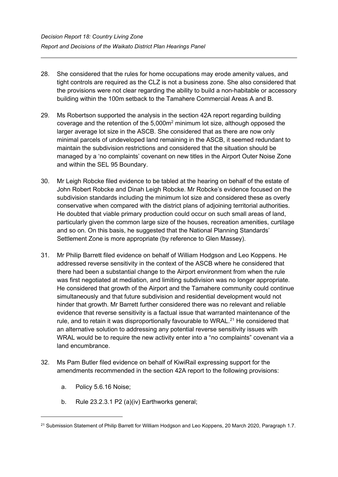- 28. She considered that the rules for home occupations may erode amenity values, and tight controls are required as the CLZ is not a business zone. She also considered that the provisions were not clear regarding the ability to build a non-habitable or accessory building within the 100m setback to the Tamahere Commercial Areas A and B.
- 29. Ms Robertson supported the analysis in the section 42A report regarding building coverage and the retention of the 5,000m2 minimum lot size, although opposed the larger average lot size in the ASCB. She considered that as there are now only minimal parcels of undeveloped land remaining in the ASCB, it seemed redundant to maintain the subdivision restrictions and considered that the situation should be managed by a 'no complaints' covenant on new titles in the Airport Outer Noise Zone and within the SEL 95 Boundary.
- 30. Mr Leigh Robcke filed evidence to be tabled at the hearing on behalf of the estate of John Robert Robcke and Dinah Leigh Robcke. Mr Robcke's evidence focused on the subdivision standards including the minimum lot size and considered these as overly conservative when compared with the district plans of adjoining territorial authorities. He doubted that viable primary production could occur on such small areas of land, particularly given the common large size of the houses, recreation amenities, curtilage and so on. On this basis, he suggested that the National Planning Standards' Settlement Zone is more appropriate (by reference to Glen Massey).
- 31. Mr Philip Barrett filed evidence on behalf of William Hodgson and Leo Koppens. He addressed reverse sensitivity in the context of the ASCB where he considered that there had been a substantial change to the Airport environment from when the rule was first negotiated at mediation, and limiting subdivision was no longer appropriate. He considered that growth of the Airport and the Tamahere community could continue simultaneously and that future subdivision and residential development would not hinder that growth. Mr Barrett further considered there was no relevant and reliable evidence that reverse sensitivity is a factual issue that warranted maintenance of the rule, and to retain it was disproportionally favourable to WRAL.<sup>[21](#page-11-0)</sup> He considered that an alternative solution to addressing any potential reverse sensitivity issues with WRAL would be to require the new activity enter into a "no complaints" covenant via a land encumbrance.
- 32. Ms Pam Butler filed evidence on behalf of KiwiRail expressing support for the amendments recommended in the section 42A report to the following provisions:
	- a. Policy 5.6.16 Noise;
	- b. Rule 23.2.3.1 P2 (a)(iv) Earthworks general;

<span id="page-11-0"></span><sup>&</sup>lt;sup>21</sup> Submission Statement of Philip Barrett for William Hodgson and Leo Koppens, 20 March 2020, Paragraph 1.7.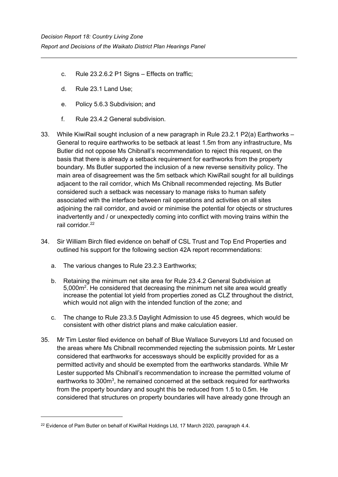- c. Rule 23.2.6.2 P1 Signs Effects on traffic;
- d. Rule 23.1 Land Use;
- e. Policy 5.6.3 Subdivision; and
- f. Rule 23.4.2 General subdivision.
- 33. While KiwiRail sought inclusion of a new paragraph in Rule 23.2.1 P2(a) Earthworks General to require earthworks to be setback at least 1.5m from any infrastructure, Ms Butler did not oppose Ms Chibnall's recommendation to reject this request, on the basis that there is already a setback requirement for earthworks from the property boundary. Ms Butler supported the inclusion of a new reverse sensitivity policy. The main area of disagreement was the 5m setback which KiwiRail sought for all buildings adjacent to the rail corridor, which Ms Chibnall recommended rejecting. Ms Butler considered such a setback was necessary to manage risks to human safety associated with the interface between rail operations and activities on all sites adjoining the rail corridor, and avoid or minimise the potential for objects or structures inadvertently and / or unexpectedly coming into conflict with moving trains within the rail corridor. [22](#page-12-0)
- 34. Sir William Birch filed evidence on behalf of CSL Trust and Top End Properties and outlined his support for the following section 42A report recommendations:
	- a. The various changes to Rule 23.2.3 Earthworks;
	- b. Retaining the minimum net site area for Rule 23.4.2 General Subdivision at 5,000 $m<sup>2</sup>$ . He considered that decreasing the minimum net site area would greatly increase the potential lot yield from properties zoned as CLZ throughout the district, which would not align with the intended function of the zone; and
	- c. The change to Rule 23.3.5 Daylight Admission to use 45 degrees, which would be consistent with other district plans and make calculation easier.
- 35. Mr Tim Lester filed evidence on behalf of Blue Wallace Surveyors Ltd and focused on the areas where Ms Chibnall recommended rejecting the submission points. Mr Lester considered that earthworks for accessways should be explicitly provided for as a permitted activity and should be exempted from the earthworks standards. While Mr Lester supported Ms Chibnall's recommendation to increase the permitted volume of earthworks to 300m<sup>3</sup>, he remained concerned at the setback required for earthworks from the property boundary and sought this be reduced from 1.5 to 0.5m. He considered that structures on property boundaries will have already gone through an

<span id="page-12-0"></span><sup>&</sup>lt;sup>22</sup> Evidence of Pam Butler on behalf of KiwiRail Holdings Ltd, 17 March 2020, paragraph 4.4.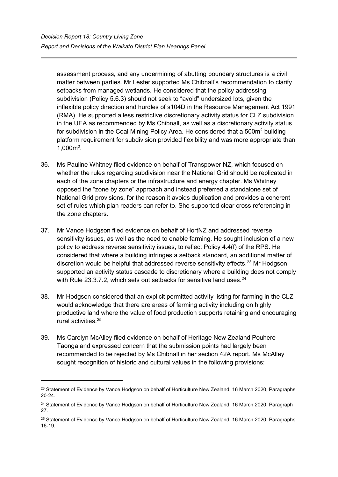assessment process, and any undermining of abutting boundary structures is a civil matter between parties. Mr Lester supported Ms Chibnall's recommendation to clarify setbacks from managed wetlands. He considered that the policy addressing subdivision (Policy 5.6.3) should not seek to "avoid" undersized lots, given the inflexible policy direction and hurdles of s104D in the Resource Management Act 1991 (RMA). He supported a less restrictive discretionary activity status for CLZ subdivision in the UEA as recommended by Ms Chibnall, as well as a discretionary activity status for subdivision in the Coal Mining Policy Area. He considered that a 500m<sup>2</sup> building platform requirement for subdivision provided flexibility and was more appropriate than 1,000m2 .

- 36. Ms Pauline Whitney filed evidence on behalf of Transpower NZ, which focused on whether the rules regarding subdivision near the National Grid should be replicated in each of the zone chapters or the infrastructure and energy chapter. Ms Whitney opposed the "zone by zone" approach and instead preferred a standalone set of National Grid provisions, for the reason it avoids duplication and provides a coherent set of rules which plan readers can refer to. She supported clear cross referencing in the zone chapters.
- 37. Mr Vance Hodgson filed evidence on behalf of HortNZ and addressed reverse sensitivity issues, as well as the need to enable farming. He sought inclusion of a new policy to address reverse sensitivity issues, to reflect Policy 4.4(f) of the RPS. He considered that where a building infringes a setback standard, an additional matter of discretion would be helpful that addressed reverse sensitivity effects. [23](#page-13-0) Mr Hodgson supported an activity status cascade to discretionary where a building does not comply with Rule 23.3.7.2, which sets out setbacks for sensitive land uses.  $24$
- 38. Mr Hodgson considered that an explicit permitted activity listing for farming in the CLZ would acknowledge that there are areas of farming activity including on highly productive land where the value of food production supports retaining and encouraging rural activities.[25](#page-13-2)
- 39. Ms Carolyn McAlley filed evidence on behalf of Heritage New Zealand Pouhere Taonga and expressed concern that the submission points had largely been recommended to be rejected by Ms Chibnall in her section 42A report. Ms McAlley sought recognition of historic and cultural values in the following provisions:

<span id="page-13-0"></span><sup>&</sup>lt;sup>23</sup> Statement of Evidence by Vance Hodgson on behalf of Horticulture New Zealand, 16 March 2020, Paragraphs 20-24.

<span id="page-13-1"></span><sup>&</sup>lt;sup>24</sup> Statement of Evidence by Vance Hodgson on behalf of Horticulture New Zealand, 16 March 2020, Paragraph 27.

<span id="page-13-2"></span><sup>&</sup>lt;sup>25</sup> Statement of Evidence by Vance Hodgson on behalf of Horticulture New Zealand, 16 March 2020, Paragraphs 16-19.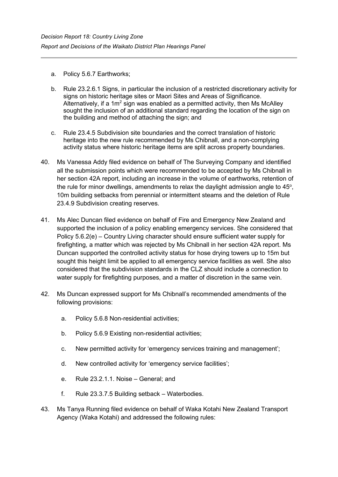- a. Policy 5.6.7 Earthworks;
- b. Rule 23.2.6.1 Signs, in particular the inclusion of a restricted discretionary activity for signs on historic heritage sites or Maori Sites and Areas of Significance. Alternatively, if a  $1m^2$  sign was enabled as a permitted activity, then Ms McAlley sought the inclusion of an additional standard regarding the location of the sign on the building and method of attaching the sign; and
- c. Rule 23.4.5 Subdivision site boundaries and the correct translation of historic heritage into the new rule recommended by Ms Chibnall, and a non-complying activity status where historic heritage items are split across property boundaries.
- 40. Ms Vanessa Addy filed evidence on behalf of The Surveying Company and identified all the submission points which were recommended to be accepted by Ms Chibnall in her section 42A report, including an increase in the volume of earthworks, retention of the rule for minor dwellings, amendments to relax the daylight admission angle to  $45^{\circ}$ , 10m building setbacks from perennial or intermittent steams and the deletion of Rule 23.4.9 Subdivision creating reserves.
- 41. Ms Alec Duncan filed evidence on behalf of Fire and Emergency New Zealand and supported the inclusion of a policy enabling emergency services. She considered that Policy 5.6.2(e) – Country Living character should ensure sufficient water supply for firefighting, a matter which was rejected by Ms Chibnall in her section 42A report. Ms Duncan supported the controlled activity status for hose drying towers up to 15m but sought this height limit be applied to all emergency service facilities as well. She also considered that the subdivision standards in the CLZ should include a connection to water supply for firefighting purposes, and a matter of discretion in the same vein.
- 42. Ms Duncan expressed support for Ms Chibnall's recommended amendments of the following provisions:
	- a. Policy 5.6.8 Non-residential activities;
	- b. Policy 5.6.9 Existing non-residential activities;
	- c. New permitted activity for 'emergency services training and management';
	- d. New controlled activity for 'emergency service facilities';
	- e. Rule 23.2.1.1. Noise General; and
	- f. Rule 23.3.7.5 Building setback Waterbodies.
- 43. Ms Tanya Running filed evidence on behalf of Waka Kotahi New Zealand Transport Agency (Waka Kotahi) and addressed the following rules: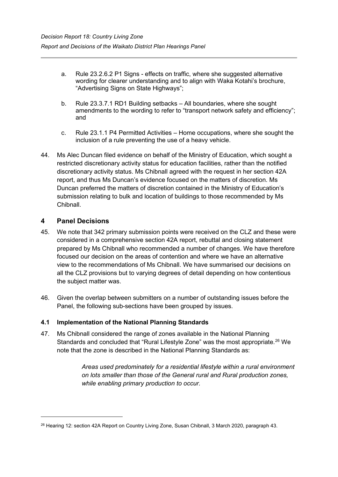- a. Rule 23.2.6.2 P1 Signs effects on traffic, where she suggested alternative wording for clearer understanding and to align with Waka Kotahi's brochure, "Advertising Signs on State Highways";
- b. Rule 23.3.7.1 RD1 Building setbacks All boundaries, where she sought amendments to the wording to refer to "transport network safety and efficiency"; and
- c. Rule 23.1.1 P4 Permitted Activities Home occupations, where she sought the inclusion of a rule preventing the use of a heavy vehicle.
- 44. Ms Alec Duncan filed evidence on behalf of the Ministry of Education, which sought a restricted discretionary activity status for education facilities, rather than the notified discretionary activity status. Ms Chibnall agreed with the request in her section 42A report, and thus Ms Duncan's evidence focused on the matters of discretion. Ms Duncan preferred the matters of discretion contained in the Ministry of Education's submission relating to bulk and location of buildings to those recommended by Ms Chibnall.

## **4 Panel Decisions**

- 45. We note that 342 primary submission points were received on the CLZ and these were considered in a comprehensive section 42A report, rebuttal and closing statement prepared by Ms Chibnall who recommended a number of changes. We have therefore focused our decision on the areas of contention and where we have an alternative view to the recommendations of Ms Chibnall. We have summarised our decisions on all the CLZ provisions but to varying degrees of detail depending on how contentious the subject matter was.
- 46. Given the overlap between submitters on a number of outstanding issues before the Panel, the following sub-sections have been grouped by issues.

## **4.1 Implementation of the National Planning Standards**

47. Ms Chibnall considered the range of zones available in the National Planning Standards and concluded that "Rural Lifestyle Zone" was the most appropriate.<sup>[26](#page-15-0)</sup> We note that the zone is described in the National Planning Standards as:

> *Areas used predominately for a residential lifestyle within a rural environment on lots smaller than those of the General rural and Rural production zones, while enabling primary production to occur.*

<span id="page-15-0"></span><sup>26</sup> Hearing 12: section 42A Report on Country Living Zone, Susan Chibnall, 3 March 2020, paragraph 43.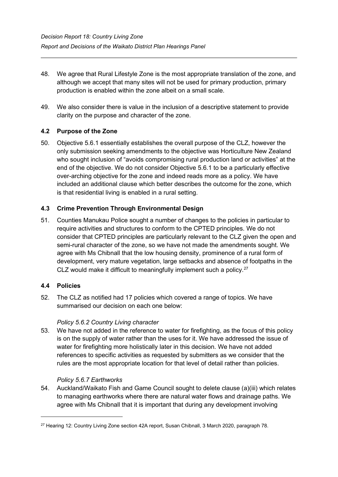- 48. We agree that Rural Lifestyle Zone is the most appropriate translation of the zone, and although we accept that many sites will not be used for primary production, primary production is enabled within the zone albeit on a small scale.
- 49. We also consider there is value in the inclusion of a descriptive statement to provide clarity on the purpose and character of the zone.

## **4.2 Purpose of the Zone**

50. Objective 5.6.1 essentially establishes the overall purpose of the CLZ, however the only submission seeking amendments to the objective was Horticulture New Zealand who sought inclusion of "avoids compromising rural production land or activities" at the end of the objective. We do not consider Objective 5.6.1 to be a particularly effective over-arching objective for the zone and indeed reads more as a policy. We have included an additional clause which better describes the outcome for the zone, which is that residential living is enabled in a rural setting.

## **4.3 Crime Prevention Through Environmental Design**

51. Counties Manukau Police sought a number of changes to the policies in particular to require activities and structures to conform to the CPTED principles. We do not consider that CPTED principles are particularly relevant to the CLZ given the open and semi-rural character of the zone, so we have not made the amendments sought. We agree with Ms Chibnall that the low housing density, prominence of a rural form of development, very mature vegetation, large setbacks and absence of footpaths in the CLZ would make it difficult to meaningfully implement such a policy.<sup>[27](#page-16-0)</sup>

#### **4.4 Policies**

52. The CLZ as notified had 17 policies which covered a range of topics. We have summarised our decision on each one below:

#### *Policy 5.6.2 Country Living character*

53. We have not added in the reference to water for firefighting, as the focus of this policy is on the supply of water rather than the uses for it. We have addressed the issue of water for firefighting more holistically later in this decision. We have not added references to specific activities as requested by submitters as we consider that the rules are the most appropriate location for that level of detail rather than policies.

#### *Policy 5.6.7 Earthworks*

54. Auckland/Waikato Fish and Game Council sought to delete clause (a)(iii) which relates to managing earthworks where there are natural water flows and drainage paths. We agree with Ms Chibnall that it is important that during any development involving

<span id="page-16-0"></span><sup>&</sup>lt;sup>27</sup> Hearing 12: Country Living Zone section 42A report, Susan Chibnall, 3 March 2020, paragraph 78.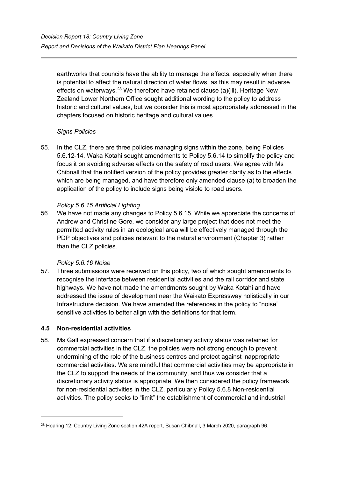earthworks that councils have the ability to manage the effects, especially when there is potential to affect the natural direction of water flows, as this may result in adverse effects on waterways.<sup>[28](#page-17-0)</sup> We therefore have retained clause (a)(iii). Heritage New Zealand Lower Northern Office sought additional wording to the policy to address historic and cultural values, but we consider this is most appropriately addressed in the chapters focused on historic heritage and cultural values.

### *Signs Policies*

55. In the CLZ, there are three policies managing signs within the zone, being Policies 5.6.12-14. Waka Kotahi sought amendments to Policy 5.6.14 to simplify the policy and focus it on avoiding adverse effects on the safety of road users. We agree with Ms Chibnall that the notified version of the policy provides greater clarity as to the effects which are being managed, and have therefore only amended clause (a) to broaden the application of the policy to include signs being visible to road users.

### *Policy 5.6.15 Artificial Lighting*

56. We have not made any changes to Policy 5.6.15. While we appreciate the concerns of Andrew and Christine Gore, we consider any large project that does not meet the permitted activity rules in an ecological area will be effectively managed through the PDP objectives and policies relevant to the natural environment (Chapter 3) rather than the CLZ policies.

## *Policy 5.6.16 Noise*

57. Three submissions were received on this policy, two of which sought amendments to recognise the interface between residential activities and the rail corridor and state highways. We have not made the amendments sought by Waka Kotahi and have addressed the issue of development near the Waikato Expressway holistically in our Infrastructure decision. We have amended the references in the policy to "noise" sensitive activities to better align with the definitions for that term.

## **4.5 Non-residential activities**

58. Ms Galt expressed concern that if a discretionary activity status was retained for commercial activities in the CLZ, the policies were not strong enough to prevent undermining of the role of the business centres and protect against inappropriate commercial activities. We are mindful that commercial activities may be appropriate in the CLZ to support the needs of the community, and thus we consider that a discretionary activity status is appropriate. We then considered the policy framework for non-residential activities in the CLZ, particularly Policy 5.6.8 Non-residential activities. The policy seeks to "limit" the establishment of commercial and industrial

<span id="page-17-0"></span><sup>&</sup>lt;sup>28</sup> Hearing 12: Country Living Zone section 42A report, Susan Chibnall, 3 March 2020, paragraph 96.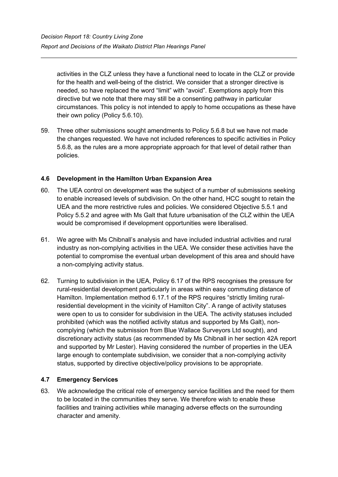activities in the CLZ unless they have a functional need to locate in the CLZ or provide for the health and well-being of the district. We consider that a stronger directive is needed, so have replaced the word "limit" with "avoid". Exemptions apply from this directive but we note that there may still be a consenting pathway in particular circumstances. This policy is not intended to apply to home occupations as these have their own policy (Policy 5.6.10).

59. Three other submissions sought amendments to Policy 5.6.8 but we have not made the changes requested. We have not included references to specific activities in Policy 5.6.8, as the rules are a more appropriate approach for that level of detail rather than policies.

## **4.6 Development in the Hamilton Urban Expansion Area**

- 60. The UEA control on development was the subject of a number of submissions seeking to enable increased levels of subdivision. On the other hand, HCC sought to retain the UEA and the more restrictive rules and policies. We considered Objective 5.5.1 and Policy 5.5.2 and agree with Ms Galt that future urbanisation of the CLZ within the UEA would be compromised if development opportunities were liberalised.
- 61. We agree with Ms Chibnall's analysis and have included industrial activities and rural industry as non-complying activities in the UEA. We consider these activities have the potential to compromise the eventual urban development of this area and should have a non-complying activity status.
- 62. Turning to subdivision in the UEA, Policy 6.17 of the RPS recognises the pressure for rural-residential development particularly in areas within easy commuting distance of Hamilton. Implementation method 6.17.1 of the RPS requires "strictly limiting ruralresidential development in the vicinity of Hamilton City". A range of activity statuses were open to us to consider for subdivision in the UEA. The activity statuses included prohibited (which was the notified activity status and supported by Ms Galt), noncomplying (which the submission from Blue Wallace Surveyors Ltd sought), and discretionary activity status (as recommended by Ms Chibnall in her section 42A report and supported by Mr Lester). Having considered the number of properties in the UEA large enough to contemplate subdivision, we consider that a non-complying activity status, supported by directive objective/policy provisions to be appropriate.

## **4.7 Emergency Services**

63. We acknowledge the critical role of emergency service facilities and the need for them to be located in the communities they serve. We therefore wish to enable these facilities and training activities while managing adverse effects on the surrounding character and amenity.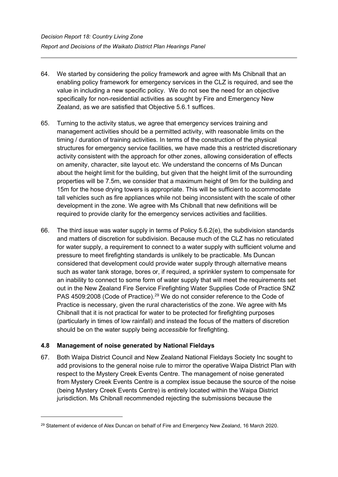- 64. We started by considering the policy framework and agree with Ms Chibnall that an enabling policy framework for emergency services in the CLZ is required, and see the value in including a new specific policy. We do not see the need for an objective specifically for non-residential activities as sought by Fire and Emergency New Zealand, as we are satisfied that Objective 5.6.1 suffices.
- 65. Turning to the activity status, we agree that emergency services training and management activities should be a permitted activity, with reasonable limits on the timing / duration of training activities. In terms of the construction of the physical structures for emergency service facilities, we have made this a restricted discretionary activity consistent with the approach for other zones, allowing consideration of effects on amenity, character, site layout etc. We understand the concerns of Ms Duncan about the height limit for the building, but given that the height limit of the surrounding properties will be 7.5m, we consider that a maximum height of 9m for the building and 15m for the hose drying towers is appropriate. This will be sufficient to accommodate tall vehicles such as fire appliances while not being inconsistent with the scale of other development in the zone. We agree with Ms Chibnall that new definitions will be required to provide clarity for the emergency services activities and facilities.
- 66. The third issue was water supply in terms of Policy  $5.6.2(e)$ , the subdivision standards and matters of discretion for subdivision. Because much of the CLZ has no reticulated for water supply, a requirement to connect to a water supply with sufficient volume and pressure to meet firefighting standards is unlikely to be practicable. Ms Duncan considered that development could provide water supply through alternative means such as water tank storage, bores or, if required, a sprinkler system to compensate for an inability to connect to some form of water supply that will meet the requirements set out in the New Zealand Fire Service Firefighting Water Supplies Code of Practice SNZ PAS 4509:2008 (Code of Practice).<sup>[29](#page-19-0)</sup> We do not consider reference to the Code of Practice is necessary, given the rural characteristics of the zone. We agree with Ms Chibnall that it is not practical for water to be protected for firefighting purposes (particularly in times of low rainfall) and instead the focus of the matters of discretion should be on the water supply being *accessible* for firefighting.

## **4.8 Management of noise generated by National Fieldays**

67. Both Waipa District Council and New Zealand National Fieldays Society Inc sought to add provisions to the general noise rule to mirror the operative Waipa District Plan with respect to the Mystery Creek Events Centre. The management of noise generated from Mystery Creek Events Centre is a complex issue because the source of the noise (being Mystery Creek Events Centre) is entirely located within the Waipa District jurisdiction. Ms Chibnall recommended rejecting the submissions because the

<span id="page-19-0"></span><sup>&</sup>lt;sup>29</sup> Statement of evidence of Alex Duncan on behalf of Fire and Emergency New Zealand, 16 March 2020.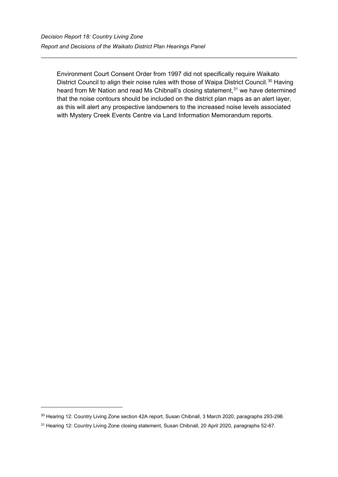Environment Court Consent Order from 1997 did not specifically require Waikato District Council to align their noise rules with those of Waipa District Council.<sup>[30](#page-20-0)</sup> Having heard from Mr Nation and read Ms Chibnall's closing statement, [31](#page-20-1) we have determined that the noise contours should be included on the district plan maps as an alert layer, as this will alert any prospective landowners to the increased noise levels associated with Mystery Creek Events Centre via Land Information Memorandum reports.

<span id="page-20-0"></span><sup>30</sup> Hearing 12: Country Living Zone section 42A report, Susan Chibnall, 3 March 2020, paragraphs 293-298.

<span id="page-20-1"></span><sup>&</sup>lt;sup>31</sup> Hearing 12: Country Living Zone closing statement, Susan Chibnall, 20 April 2020, paragraphs 52-67.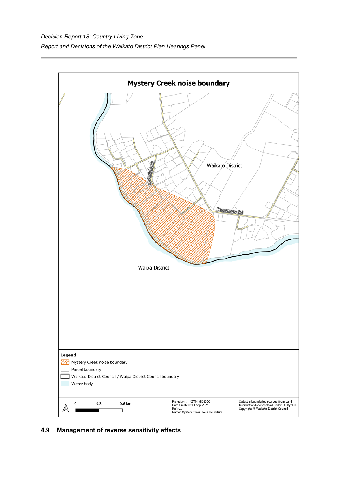

## **4.9 Management of reverse sensitivity effects**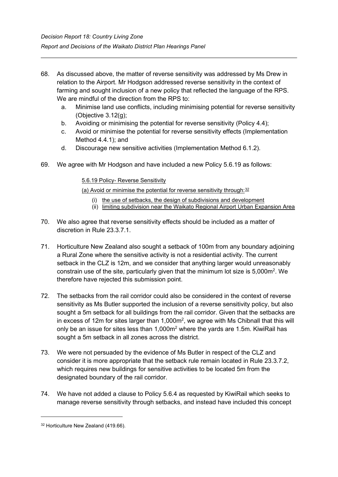- 68. As discussed above, the matter of reverse sensitivity was addressed by Ms Drew in relation to the Airport. Mr Hodgson addressed reverse sensitivity in the context of farming and sought inclusion of a new policy that reflected the language of the RPS. We are mindful of the direction from the RPS to:
	- a. Minimise land use conflicts, including minimising potential for reverse sensitivity (Objective 3.12(g);
	- b. Avoiding or minimising the potential for reverse sensitivity (Policy 4.4);
	- c. Avoid or minimise the potential for reverse sensitivity effects (Implementation Method 4.4.1); and
	- d. Discourage new sensitive activities (Implementation Method 6.1.2).
- 69. We agree with Mr Hodgson and have included a new Policy 5.6.19 as follows:

5.6.19 Policy- Reverse Sensitivity

(a) Avoid or minimise the potential for reverse sensitivity through:  $32$ 

- (i) the use of setbacks, the design of subdivisions and development
- (ii) limiting subdivision near the Waikato Regional Airport Urban Expansion Area
- 70. We also agree that reverse sensitivity effects should be included as a matter of discretion in Rule 23.3.7.1.
- 71. Horticulture New Zealand also sought a setback of 100m from any boundary adjoining a Rural Zone where the sensitive activity is not a residential activity. The current setback in the CLZ is 12m, and we consider that anything larger would unreasonably constrain use of the site, particularly given that the minimum lot size is 5,000m<sup>2</sup>. We therefore have rejected this submission point.
- 72. The setbacks from the rail corridor could also be considered in the context of reverse sensitivity as Ms Butler supported the inclusion of a reverse sensitivity policy, but also sought a 5m setback for all buildings from the rail corridor. Given that the setbacks are in excess of 12m for sites larger than 1,000 $m^2$ , we agree with Ms Chibnall that this will only be an issue for sites less than 1,000m<sup>2</sup> where the yards are 1.5m. KiwiRail has sought a 5m setback in all zones across the district.
- 73. We were not persuaded by the evidence of Ms Butler in respect of the CLZ and consider it is more appropriate that the setback rule remain located in Rule 23.3.7.2, which requires new buildings for sensitive activities to be located 5m from the designated boundary of the rail corridor.
- 74. We have not added a clause to Policy 5.6.4 as requested by KiwiRail which seeks to manage reverse sensitivity through setbacks, and instead have included this concept

<span id="page-22-0"></span><sup>&</sup>lt;sup>32</sup> Horticulture New Zealand (419.66).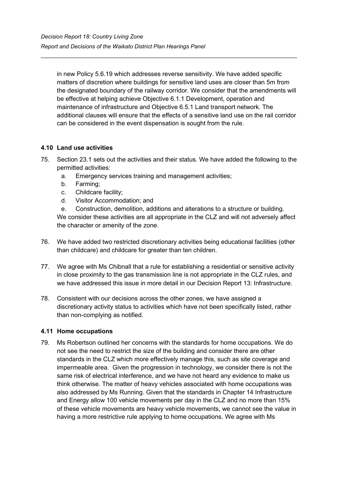in new Policy 5.6.19 which addresses reverse sensitivity. We have added specific matters of discretion where buildings for sensitive land uses are closer than 5m from the designated boundary of the railway corridor. We consider that the amendments will be effective at helping achieve Objective 6.1.1 Development, operation and maintenance of infrastructure and Objective 6.5.1 Land transport network. The additional clauses will ensure that the effects of a sensitive land use on the rail corridor can be considered in the event dispensation is sought from the rule.

## **4.10 Land use activities**

- 75. Section 23.1 sets out the activities and their status. We have added the following to the permitted activities:
	- a. Emergency services training and management activities;
	- b. Farming;
	- c. Childcare facility;
	- d. Visitor Accommodation; and
	- e. Construction, demolition, additions and alterations to a structure or building.

We consider these activities are all appropriate in the CLZ and will not adversely affect the character or amenity of the zone.

- 76. We have added two restricted discretionary activities being educational facilities (other than childcare) and childcare for greater than ten children.
- 77. We agree with Ms Chibnall that a rule for establishing a residential or sensitive activity in close proximity to the gas transmission line is not appropriate in the CLZ rules, and we have addressed this issue in more detail in our Decision Report 13: Infrastructure.
- 78. Consistent with our decisions across the other zones, we have assigned a discretionary activity status to activities which have not been specifically listed, rather than non-complying as notified.

#### **4.11 Home occupations**

79. Ms Robertson outlined her concerns with the standards for home occupations. We do not see the need to restrict the size of the building and consider there are other standards in the CLZ which more effectively manage this, such as site coverage and impermeable area. Given the progression in technology, we consider there is not the same risk of electrical interference, and we have not heard any evidence to make us think otherwise. The matter of heavy vehicles associated with home occupations was also addressed by Ms Running. Given that the standards in Chapter 14 Infrastructure and Energy allow 100 vehicle movements per day in the CLZ and no more than 15% of these vehicle movements are heavy vehicle movements, we cannot see the value in having a more restrictive rule applying to home occupations. We agree with Ms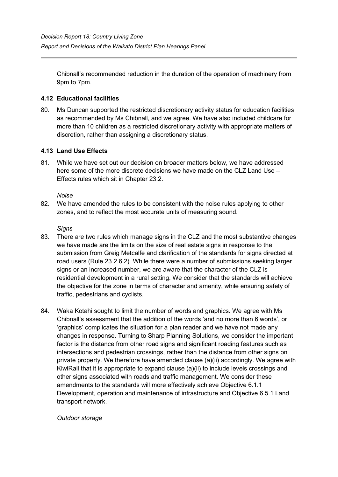Chibnall's recommended reduction in the duration of the operation of machinery from 9pm to 7pm.

## **4.12 Educational facilities**

80. Ms Duncan supported the restricted discretionary activity status for education facilities as recommended by Ms Chibnall, and we agree. We have also included childcare for more than 10 children as a restricted discretionary activity with appropriate matters of discretion, rather than assigning a discretionary status.

### **4.13 Land Use Effects**

81. While we have set out our decision on broader matters below, we have addressed here some of the more discrete decisions we have made on the CLZ Land Use – Effects rules which sit in Chapter 23.2.

#### *Noise*

82. We have amended the rules to be consistent with the noise rules applying to other zones, and to reflect the most accurate units of measuring sound.

#### *Signs*

- 83. There are two rules which manage signs in the CLZ and the most substantive changes we have made are the limits on the size of real estate signs in response to the submission from Greig Metcalfe and clarification of the standards for signs directed at road users (Rule 23.2.6.2). While there were a number of submissions seeking larger signs or an increased number, we are aware that the character of the CLZ is residential development in a rural setting. We consider that the standards will achieve the objective for the zone in terms of character and amenity, while ensuring safety of traffic, pedestrians and cyclists.
- 84. Waka Kotahi sought to limit the number of words and graphics. We agree with Ms Chibnall's assessment that the addition of the words 'and no more than 6 words', or 'graphics' complicates the situation for a plan reader and we have not made any changes in response. Turning to Sharp Planning Solutions, we consider the important factor is the distance from other road signs and significant roading features such as intersections and pedestrian crossings, rather than the distance from other signs on private property. We therefore have amended clause (a)(ii) accordingly. We agree with KiwiRail that it is appropriate to expand clause (a)(ii) to include levels crossings and other signs associated with roads and traffic management. We consider these amendments to the standards will more effectively achieve Objective 6.1.1 Development, operation and maintenance of infrastructure and Objective 6.5.1 Land transport network.

*Outdoor storage*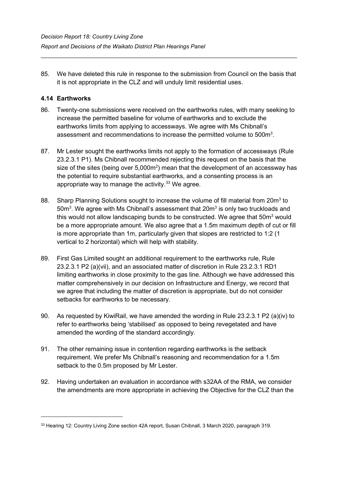85. We have deleted this rule in response to the submission from Council on the basis that it is not appropriate in the CLZ and will unduly limit residential uses.

## **4.14 Earthworks**

- 86. Twenty-one submissions were received on the earthworks rules, with many seeking to increase the permitted baseline for volume of earthworks and to exclude the earthworks limits from applying to accessways. We agree with Ms Chibnall's assessment and recommendations to increase the permitted volume to 500m $^{\rm 3}$ .
- 87. Mr Lester sought the earthworks limits not apply to the formation of accessways (Rule 23.2.3.1 P1). Ms Chibnall recommended rejecting this request on the basis that the size of the sites (being over 5,000m<sup>2</sup>) mean that the development of an accessway has the potential to require substantial earthworks, and a consenting process is an appropriate way to manage the activity. [33](#page-25-0) We agree.
- 88. Sharp Planning Solutions sought to increase the volume of fill material from 20m<sup>3</sup> to 50 $\mathsf{m}^3$ . We agree with Ms Chibnall's assessment that 20 $\mathsf{m}^3$  is only two truckloads and this would not allow landscaping bunds to be constructed. We agree that  $50m<sup>3</sup>$  would be a more appropriate amount. We also agree that a 1.5m maximum depth of cut or fill is more appropriate than 1m, particularly given that slopes are restricted to 1:2 (1 vertical to 2 horizontal) which will help with stability.
- 89. First Gas Limited sought an additional requirement to the earthworks rule, Rule 23.2.3.1 P2 (a)(vii), and an associated matter of discretion in Rule 23.2.3.1 RD1 limiting earthworks in close proximity to the gas line. Although we have addressed this matter comprehensively in our decision on Infrastructure and Energy, we record that we agree that including the matter of discretion is appropriate, but do not consider setbacks for earthworks to be necessary.
- 90. As requested by KiwiRail, we have amended the wording in Rule 23.2.3.1 P2 (a)(iv) to refer to earthworks being 'stabilised' as opposed to being revegetated and have amended the wording of the standard accordingly.
- 91. The other remaining issue in contention regarding earthworks is the setback requirement. We prefer Ms Chibnall's reasoning and recommendation for a 1.5m setback to the 0.5m proposed by Mr Lester.
- 92. Having undertaken an evaluation in accordance with s32AA of the RMA, we consider the amendments are more appropriate in achieving the Objective for the CLZ than the

<span id="page-25-0"></span><sup>&</sup>lt;sup>33</sup> Hearing 12: Country Living Zone section 42A report, Susan Chibnall, 3 March 2020, paragraph 319.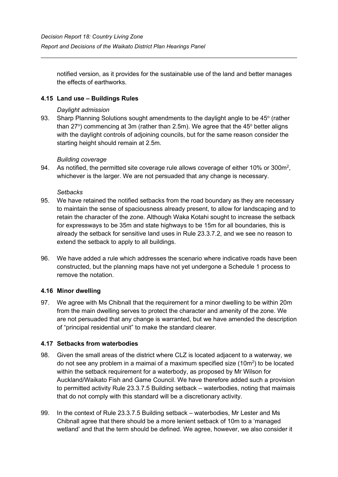notified version, as it provides for the sustainable use of the land and better manages the effects of earthworks.

### **4.15 Land use – Buildings Rules**

#### *Daylight admission*

93. Sharp Planning Solutions sought amendments to the daylight angle to be 45° (rather than 27°) commencing at 3m (rather than 2.5m). We agree that the 45° better aligns with the daylight controls of adjoining councils, but for the same reason consider the starting height should remain at 2.5m.

#### *Building coverage*

94. As notified, the permitted site coverage rule allows coverage of either 10% or 300 $m^2$ , whichever is the larger. We are not persuaded that any change is necessary.

#### *Setbacks*

- 95. We have retained the notified setbacks from the road boundary as they are necessary to maintain the sense of spaciousness already present, to allow for landscaping and to retain the character of the zone. Although Waka Kotahi sought to increase the setback for expressways to be 35m and state highways to be 15m for all boundaries, this is already the setback for sensitive land uses in Rule 23.3.7.2, and we see no reason to extend the setback to apply to all buildings.
- 96. We have added a rule which addresses the scenario where indicative roads have been constructed, but the planning maps have not yet undergone a Schedule 1 process to remove the notation.

#### **4.16 Minor dwelling**

97. We agree with Ms Chibnall that the requirement for a minor dwelling to be within 20m from the main dwelling serves to protect the character and amenity of the zone. We are not persuaded that any change is warranted, but we have amended the description of "principal residential unit" to make the standard clearer.

#### **4.17 Setbacks from waterbodies**

- 98. Given the small areas of the district where CLZ is located adjacent to a waterway, we do not see any problem in a maimai of a maximum specified size  $(10m^2)$  to be located within the setback requirement for a waterbody, as proposed by Mr Wilson for Auckland/Waikato Fish and Game Council. We have therefore added such a provision to permitted activity Rule 23.3.7.5 Building setback – waterbodies, noting that maimais that do not comply with this standard will be a discretionary activity.
- 99. In the context of Rule 23.3.7.5 Building setback waterbodies, Mr Lester and Ms Chibnall agree that there should be a more lenient setback of 10m to a 'managed wetland' and that the term should be defined. We agree, however, we also consider it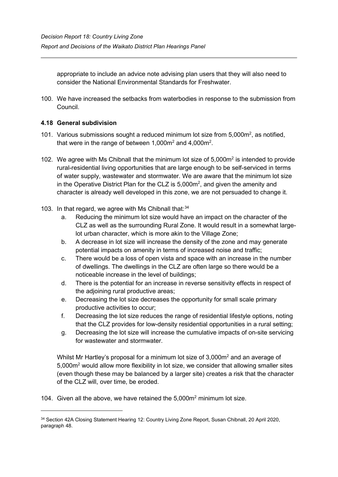appropriate to include an advice note advising plan users that they will also need to consider the National Environmental Standards for Freshwater.

100. We have increased the setbacks from waterbodies in response to the submission from Council.

## **4.18 General subdivision**

- 101. Various submissions sought a reduced minimum lot size from  $5,000m^2$ , as notified, that were in the range of between 1,000m $^{\rm 2}$  and 4,000m $^{\rm 2}$ .
- 102. We agree with Ms Chibnall that the minimum lot size of  $5.000m<sup>2</sup>$  is intended to provide rural-residential living opportunities that are large enough to be self-serviced in terms of water supply, wastewater and stormwater. We are aware that the minimum lot size in the Operative District Plan for the CLZ is  $5,000$ m<sup>2</sup>, and given the amenity and character is already well developed in this zone, we are not persuaded to change it.
- 103. In that regard, we agree with Ms Chibnall that: $34$ 
	- a. Reducing the minimum lot size would have an impact on the character of the CLZ as well as the surrounding Rural Zone. It would result in a somewhat largelot urban character, which is more akin to the Village Zone;
	- b. A decrease in lot size will increase the density of the zone and may generate potential impacts on amenity in terms of increased noise and traffic;
	- c. There would be a loss of open vista and space with an increase in the number of dwellings. The dwellings in the CLZ are often large so there would be a noticeable increase in the level of buildings;
	- d. There is the potential for an increase in reverse sensitivity effects in respect of the adjoining rural productive areas;
	- e. Decreasing the lot size decreases the opportunity for small scale primary productive activities to occur;
	- f. Decreasing the lot size reduces the range of residential lifestyle options, noting that the CLZ provides for low-density residential opportunities in a rural setting;
	- g. Decreasing the lot size will increase the cumulative impacts of on-site servicing for wastewater and stormwater.

Whilst Mr Hartley's proposal for a minimum lot size of 3,000m<sup>2</sup> and an average of 5,000m2 would allow more flexibility in lot size, we consider that allowing smaller sites (even though these may be balanced by a larger site) creates a risk that the character of the CLZ will, over time, be eroded.

104. Given all the above, we have retained the 5,000m2 minimum lot size.

<span id="page-27-0"></span><sup>34</sup> Section 42A Closing Statement Hearing 12: Country Living Zone Report, Susan Chibnall, 20 April 2020, paragraph 48.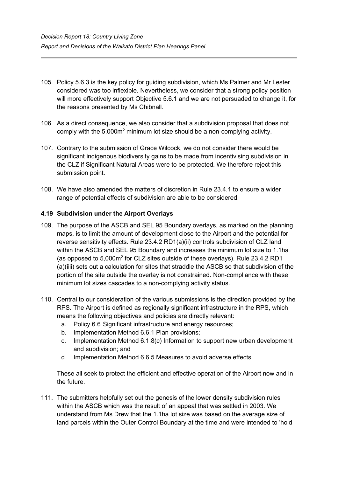- 105. Policy 5.6.3 is the key policy for guiding subdivision, which Ms Palmer and Mr Lester considered was too inflexible. Nevertheless, we consider that a strong policy position will more effectively support Objective 5.6.1 and we are not persuaded to change it, for the reasons presented by Ms Chibnall.
- 106. As a direct consequence, we also consider that a subdivision proposal that does not comply with the  $5,000m^2$  minimum lot size should be a non-complying activity.
- 107. Contrary to the submission of Grace Wilcock, we do not consider there would be significant indigenous biodiversity gains to be made from incentivising subdivision in the CLZ if Significant Natural Areas were to be protected. We therefore reject this submission point.
- 108. We have also amended the matters of discretion in Rule 23.4.1 to ensure a wider range of potential effects of subdivision are able to be considered.

### **4.19 Subdivision under the Airport Overlays**

- 109. The purpose of the ASCB and SEL 95 Boundary overlays, as marked on the planning maps, is to limit the amount of development close to the Airport and the potential for reverse sensitivity effects. Rule 23.4.2 RD1(a)(ii) controls subdivision of CLZ land within the ASCB and SEL 95 Boundary and increases the minimum lot size to 1.1ha (as opposed to  $5.000m^2$  for CLZ sites outside of these overlays). Rule 23.4.2 RD1 (a)(iiii) sets out a calculation for sites that straddle the ASCB so that subdivision of the portion of the site outside the overlay is not constrained. Non-compliance with these minimum lot sizes cascades to a non-complying activity status.
- 110. Central to our consideration of the various submissions is the direction provided by the RPS. The Airport is defined as regionally significant infrastructure in the RPS, which means the following objectives and policies are directly relevant:
	- a. Policy 6.6 Significant infrastructure and energy resources;
	- b. Implementation Method 6.6.1 Plan provisions;
	- c. Implementation Method 6.1.8(c) Information to support new urban development and subdivision; and
	- d. Implementation Method 6.6.5 Measures to avoid adverse effects.

These all seek to protect the efficient and effective operation of the Airport now and in the future.

111. The submitters helpfully set out the genesis of the lower density subdivision rules within the ASCB which was the result of an appeal that was settled in 2003. We understand from Ms Drew that the 1.1ha lot size was based on the average size of land parcels within the Outer Control Boundary at the time and were intended to 'hold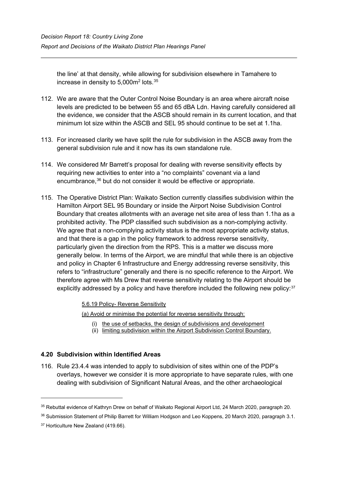the line' at that density, while allowing for subdivision elsewhere in Tamahere to increase in density to 5,000m $^2$  lots. $^{\rm 35}$  $^{\rm 35}$  $^{\rm 35}$ 

- 112. We are aware that the Outer Control Noise Boundary is an area where aircraft noise levels are predicted to be between 55 and 65 dBA Ldn. Having carefully considered all the evidence, we consider that the ASCB should remain in its current location, and that minimum lot size within the ASCB and SEL 95 should continue to be set at 1.1ha.
- 113. For increased clarity we have split the rule for subdivision in the ASCB away from the general subdivision rule and it now has its own standalone rule.
- 114. We considered Mr Barrett's proposal for dealing with reverse sensitivity effects by requiring new activities to enter into a "no complaints" covenant via a land encumbrance, [36](#page-29-1) but do not consider it would be effective or appropriate.
- 115. The Operative District Plan: Waikato Section currently classifies subdivision within the Hamilton Airport SEL 95 Boundary or inside the Airport Noise Subdivision Control Boundary that creates allotments with an average net site area of less than 1.1ha as a prohibited activity. The PDP classified such subdivision as a non-complying activity. We agree that a non-complying activity status is the most appropriate activity status, and that there is a gap in the policy framework to address reverse sensitivity, particularly given the direction from the RPS. This is a matter we discuss more generally below. In terms of the Airport, we are mindful that while there is an objective and policy in Chapter 6 Infrastructure and Energy addressing reverse sensitivity, this refers to "infrastructure" generally and there is no specific reference to the Airport. We therefore agree with Ms Drew that reverse sensitivity relating to the Airport should be explicitly addressed by a policy and have therefore included the following new policy:<sup>[37](#page-29-2)</sup>

5.6.19 Policy- Reverse Sensitivity

(a) Avoid or minimise the potential for reverse sensitivity through:

- (i) the use of setbacks, the design of subdivisions and development
- (ii) limiting subdivision within the Airport Subdivision Control Boundary.

## **4.20 Subdivision within Identified Areas**

116. Rule 23.4.4 was intended to apply to subdivision of sites within one of the PDP's overlays, however we consider it is more appropriate to have separate rules, with one dealing with subdivision of Significant Natural Areas, and the other archaeological

<span id="page-29-0"></span><sup>35</sup> Rebuttal evidence of Kathryn Drew on behalf of Waikato Regional Airport Ltd, 24 March 2020, paragraph 20.

<span id="page-29-1"></span><sup>&</sup>lt;sup>36</sup> Submission Statement of Philip Barrett for William Hodgson and Leo Koppens, 20 March 2020, paragraph 3.1.

<span id="page-29-2"></span><sup>&</sup>lt;sup>37</sup> Horticulture New Zealand (419.66).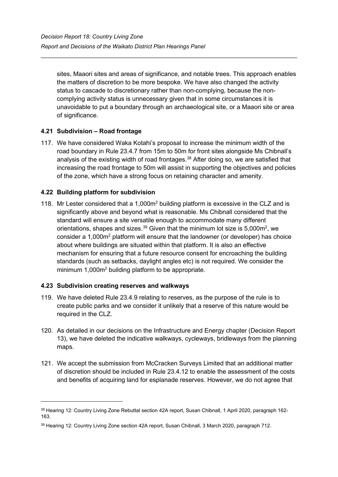sites, Maaori sites and areas of significance, and notable trees. This approach enables the matters of discretion to be more bespoke. We have also changed the activity status to cascade to discretionary rather than non-complying, because the noncomplying activity status is unnecessary given that in some circumstances it is unavoidable to put a boundary through an archaeological site, or a Maaori site or area of significance.

## **4.21 Subdivision – Road frontage**

117. We have considered Waka Kotahi's proposal to increase the minimum width of the road boundary in Rule 23.4.7 from 15m to 50m for front sites alongside Ms Chibnall's analysis of the existing width of road frontages. [38](#page-30-0) After doing so, we are satisfied that increasing the road frontage to 50m will assist in supporting the objectives and policies of the zone, which have a strong focus on retaining character and amenity.

## **4.22 Building platform for subdivision**

118. Mr Lester considered that a 1,000m<sup>2</sup> building platform is excessive in the CLZ and is significantly above and beyond what is reasonable. Ms Chibnall considered that the standard will ensure a site versatile enough to accommodate many different orientations, shapes and sizes. $^{39}$  $^{39}$  $^{39}$  Given that the minimum lot size is 5,000m<sup>2</sup>, we consider a 1,000m2 platform will ensure that the landowner (or developer) has choice about where buildings are situated within that platform. It is also an effective mechanism for ensuring that a future resource consent for encroaching the building standards (such as setbacks, daylight angles etc) is not required. We consider the minimum 1,000m<sup>2</sup> building platform to be appropriate.

## **4.23 Subdivision creating reserves and walkways**

- 119. We have deleted Rule 23.4.9 relating to reserves, as the purpose of the rule is to create public parks and we consider it unlikely that a reserve of this nature would be required in the CLZ.
- 120. As detailed in our decisions on the Infrastructure and Energy chapter (Decision Report 13), we have deleted the indicative walkways, cycleways, bridleways from the planning maps.
- 121. We accept the submission from McCracken Surveys Limited that an additional matter of discretion should be included in Rule 23.4.12 to enable the assessment of the costs and benefits of acquiring land for esplanade reserves. However, we do not agree that

<span id="page-30-0"></span><sup>38</sup> Hearing 12: Country Living Zone Rebuttal section 42A report, Susan Chibnall, 1 April 2020, paragraph 162-163.

<span id="page-30-1"></span><sup>39</sup> Hearing 12: Country Living Zone section 42A report, Susan Chibnall, 3 March 2020, paragraph 712.